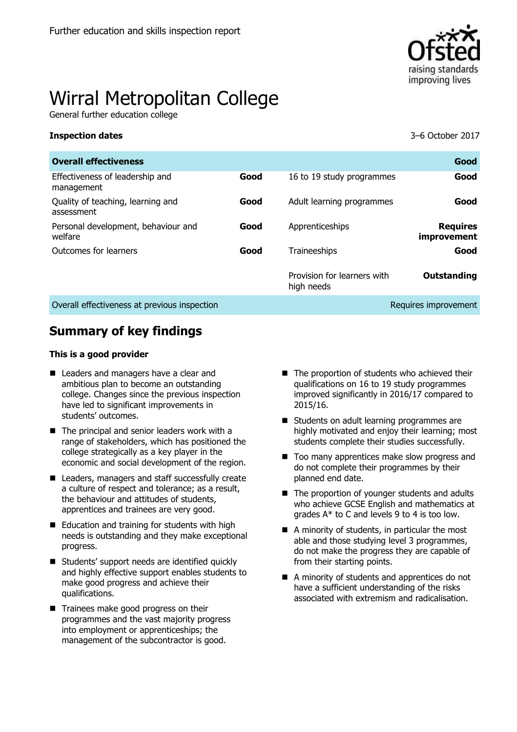

# Wirral Metropolitan College

General further education college

#### **Inspection dates** 3–6 October 2017

| <b>Overall effectiveness</b>                    |      |                                           | Good                                  |
|-------------------------------------------------|------|-------------------------------------------|---------------------------------------|
| Effectiveness of leadership and<br>management   | Good | 16 to 19 study programmes                 | Good                                  |
| Quality of teaching, learning and<br>assessment | Good | Adult learning programmes                 | Good                                  |
| Personal development, behaviour and<br>welfare  | Good | Apprenticeships                           | <b>Requires</b><br><i>improvement</i> |
| Outcomes for learners                           | Good | Traineeships                              | Good                                  |
|                                                 |      | Provision for learners with<br>high needs | Outstanding                           |
| Overall effectiveness at previous inspection    |      |                                           | Requires improvement                  |

# **Summary of key findings**

#### **This is a good provider**

- **Leaders and managers have a clear and** ambitious plan to become an outstanding college. Changes since the previous inspection have led to significant improvements in students' outcomes.
- $\blacksquare$  The principal and senior leaders work with a range of stakeholders, which has positioned the college strategically as a key player in the economic and social development of the region.
- Leaders, managers and staff successfully create a culture of respect and tolerance; as a result, the behaviour and attitudes of students, apprentices and trainees are very good.
- Education and training for students with high needs is outstanding and they make exceptional progress.
- Students' support needs are identified quickly and highly effective support enables students to make good progress and achieve their qualifications.
- Trainees make good progress on their programmes and the vast majority progress into employment or apprenticeships; the management of the subcontractor is good.
- $\blacksquare$  The proportion of students who achieved their qualifications on 16 to 19 study programmes improved significantly in 2016/17 compared to 2015/16.
- Students on adult learning programmes are highly motivated and enjoy their learning; most students complete their studies successfully.
- Too many apprentices make slow progress and do not complete their programmes by their planned end date.
- The proportion of younger students and adults who achieve GCSE English and mathematics at grades A\* to C and levels 9 to 4 is too low.
- A minority of students, in particular the most able and those studying level 3 programmes, do not make the progress they are capable of from their starting points.
- A minority of students and apprentices do not have a sufficient understanding of the risks associated with extremism and radicalisation.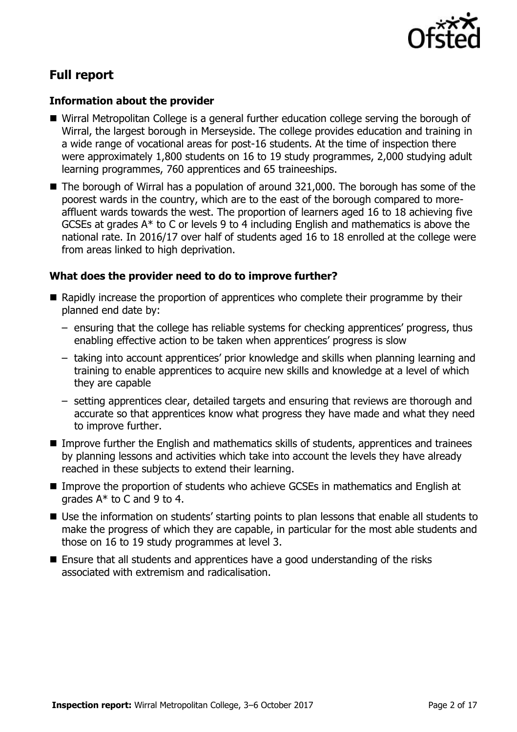

# **Full report**

### **Information about the provider**

- Wirral Metropolitan College is a general further education college serving the borough of Wirral, the largest borough in Merseyside. The college provides education and training in a wide range of vocational areas for post-16 students. At the time of inspection there were approximately 1,800 students on 16 to 19 study programmes, 2,000 studying adult learning programmes, 760 apprentices and 65 traineeships.
- The borough of Wirral has a population of around 321,000. The borough has some of the poorest wards in the country, which are to the east of the borough compared to moreaffluent wards towards the west. The proportion of learners aged 16 to 18 achieving five GCSEs at grades A\* to C or levels 9 to 4 including English and mathematics is above the national rate. In 2016/17 over half of students aged 16 to 18 enrolled at the college were from areas linked to high deprivation.

# **What does the provider need to do to improve further?**

- Rapidly increase the proportion of apprentices who complete their programme by their planned end date by:
	- ensuring that the college has reliable systems for checking apprentices' progress, thus enabling effective action to be taken when apprentices' progress is slow
	- taking into account apprentices' prior knowledge and skills when planning learning and training to enable apprentices to acquire new skills and knowledge at a level of which they are capable
	- setting apprentices clear, detailed targets and ensuring that reviews are thorough and accurate so that apprentices know what progress they have made and what they need to improve further.
- Improve further the English and mathematics skills of students, apprentices and trainees by planning lessons and activities which take into account the levels they have already reached in these subjects to extend their learning.
- Improve the proportion of students who achieve GCSEs in mathematics and English at grades A\* to C and 9 to 4.
- Use the information on students' starting points to plan lessons that enable all students to make the progress of which they are capable, in particular for the most able students and those on 16 to 19 study programmes at level 3.
- Ensure that all students and apprentices have a good understanding of the risks associated with extremism and radicalisation.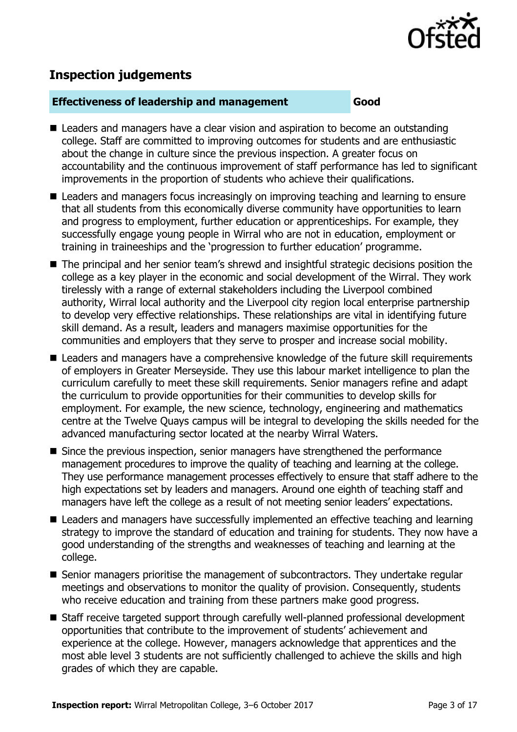

# **Inspection judgements**

#### **Effectiveness of leadership and management Good**

- Leaders and managers have a clear vision and aspiration to become an outstanding college. Staff are committed to improving outcomes for students and are enthusiastic about the change in culture since the previous inspection. A greater focus on accountability and the continuous improvement of staff performance has led to significant improvements in the proportion of students who achieve their qualifications.
- Leaders and managers focus increasingly on improving teaching and learning to ensure that all students from this economically diverse community have opportunities to learn and progress to employment, further education or apprenticeships. For example, they successfully engage young people in Wirral who are not in education, employment or training in traineeships and the 'progression to further education' programme.
- The principal and her senior team's shrewd and insightful strategic decisions position the college as a key player in the economic and social development of the Wirral. They work tirelessly with a range of external stakeholders including the Liverpool combined authority, Wirral local authority and the Liverpool city region local enterprise partnership to develop very effective relationships. These relationships are vital in identifying future skill demand. As a result, leaders and managers maximise opportunities for the communities and employers that they serve to prosper and increase social mobility.
- Leaders and managers have a comprehensive knowledge of the future skill requirements of employers in Greater Merseyside. They use this labour market intelligence to plan the curriculum carefully to meet these skill requirements. Senior managers refine and adapt the curriculum to provide opportunities for their communities to develop skills for employment. For example, the new science, technology, engineering and mathematics centre at the Twelve Quays campus will be integral to developing the skills needed for the advanced manufacturing sector located at the nearby Wirral Waters.
- Since the previous inspection, senior managers have strengthened the performance management procedures to improve the quality of teaching and learning at the college. They use performance management processes effectively to ensure that staff adhere to the high expectations set by leaders and managers. Around one eighth of teaching staff and managers have left the college as a result of not meeting senior leaders' expectations.
- Leaders and managers have successfully implemented an effective teaching and learning strategy to improve the standard of education and training for students. They now have a good understanding of the strengths and weaknesses of teaching and learning at the college.
- Senior managers prioritise the management of subcontractors. They undertake regular meetings and observations to monitor the quality of provision. Consequently, students who receive education and training from these partners make good progress.
- Staff receive targeted support through carefully well-planned professional development opportunities that contribute to the improvement of students' achievement and experience at the college. However, managers acknowledge that apprentices and the most able level 3 students are not sufficiently challenged to achieve the skills and high grades of which they are capable.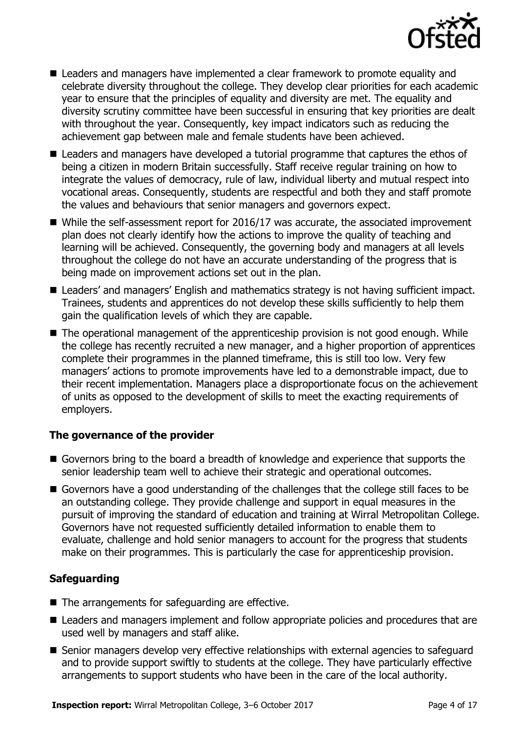

- Leaders and managers have implemented a clear framework to promote equality and celebrate diversity throughout the college. They develop clear priorities for each academic year to ensure that the principles of equality and diversity are met. The equality and diversity scrutiny committee have been successful in ensuring that key priorities are dealt with throughout the year. Consequently, key impact indicators such as reducing the achievement gap between male and female students have been achieved.
- Leaders and managers have developed a tutorial programme that captures the ethos of being a citizen in modern Britain successfully. Staff receive regular training on how to integrate the values of democracy, rule of law, individual liberty and mutual respect into vocational areas. Consequently, students are respectful and both they and staff promote the values and behaviours that senior managers and governors expect.
- While the self-assessment report for 2016/17 was accurate, the associated improvement plan does not clearly identify how the actions to improve the quality of teaching and learning will be achieved. Consequently, the governing body and managers at all levels throughout the college do not have an accurate understanding of the progress that is being made on improvement actions set out in the plan.
- Leaders' and managers' English and mathematics strategy is not having sufficient impact. Trainees, students and apprentices do not develop these skills sufficiently to help them gain the qualification levels of which they are capable.
- The operational management of the apprenticeship provision is not good enough. While the college has recently recruited a new manager, and a higher proportion of apprentices complete their programmes in the planned timeframe, this is still too low. Very few managers' actions to promote improvements have led to a demonstrable impact, due to their recent implementation. Managers place a disproportionate focus on the achievement of units as opposed to the development of skills to meet the exacting requirements of employers.

### **The governance of the provider**

- Governors bring to the board a breadth of knowledge and experience that supports the senior leadership team well to achieve their strategic and operational outcomes.
- Governors have a good understanding of the challenges that the college still faces to be an outstanding college. They provide challenge and support in equal measures in the pursuit of improving the standard of education and training at Wirral Metropolitan College. Governors have not requested sufficiently detailed information to enable them to evaluate, challenge and hold senior managers to account for the progress that students make on their programmes. This is particularly the case for apprenticeship provision.

# **Safeguarding**

- $\blacksquare$  The arrangements for safeguarding are effective.
- Leaders and managers implement and follow appropriate policies and procedures that are used well by managers and staff alike.
- Senior managers develop very effective relationships with external agencies to safeguard and to provide support swiftly to students at the college. They have particularly effective arrangements to support students who have been in the care of the local authority.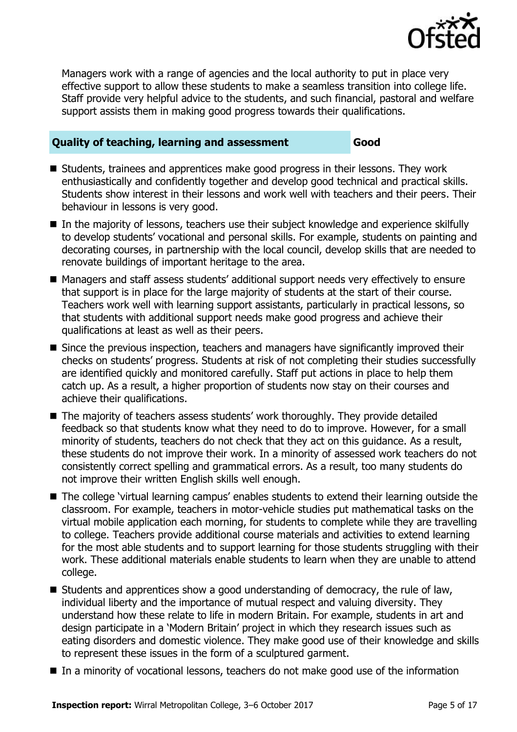

Managers work with a range of agencies and the local authority to put in place very effective support to allow these students to make a seamless transition into college life. Staff provide very helpful advice to the students, and such financial, pastoral and welfare support assists them in making good progress towards their qualifications.

### **Quality of teaching, learning and assessment Good**

- Students, trainees and apprentices make good progress in their lessons. They work enthusiastically and confidently together and develop good technical and practical skills. Students show interest in their lessons and work well with teachers and their peers. Their behaviour in lessons is very good.
- In the majority of lessons, teachers use their subject knowledge and experience skilfully to develop students' vocational and personal skills. For example, students on painting and decorating courses, in partnership with the local council, develop skills that are needed to renovate buildings of important heritage to the area.
- Managers and staff assess students' additional support needs very effectively to ensure that support is in place for the large majority of students at the start of their course. Teachers work well with learning support assistants, particularly in practical lessons, so that students with additional support needs make good progress and achieve their qualifications at least as well as their peers.
- Since the previous inspection, teachers and managers have significantly improved their checks on students' progress. Students at risk of not completing their studies successfully are identified quickly and monitored carefully. Staff put actions in place to help them catch up. As a result, a higher proportion of students now stay on their courses and achieve their qualifications.
- The majority of teachers assess students' work thoroughly. They provide detailed feedback so that students know what they need to do to improve. However, for a small minority of students, teachers do not check that they act on this guidance. As a result, these students do not improve their work. In a minority of assessed work teachers do not consistently correct spelling and grammatical errors. As a result, too many students do not improve their written English skills well enough.
- The college 'virtual learning campus' enables students to extend their learning outside the classroom. For example, teachers in motor-vehicle studies put mathematical tasks on the virtual mobile application each morning, for students to complete while they are travelling to college. Teachers provide additional course materials and activities to extend learning for the most able students and to support learning for those students struggling with their work. These additional materials enable students to learn when they are unable to attend college.
- Students and apprentices show a good understanding of democracy, the rule of law, individual liberty and the importance of mutual respect and valuing diversity. They understand how these relate to life in modern Britain. For example, students in art and design participate in a 'Modern Britain' project in which they research issues such as eating disorders and domestic violence. They make good use of their knowledge and skills to represent these issues in the form of a sculptured garment.
- In a minority of vocational lessons, teachers do not make good use of the information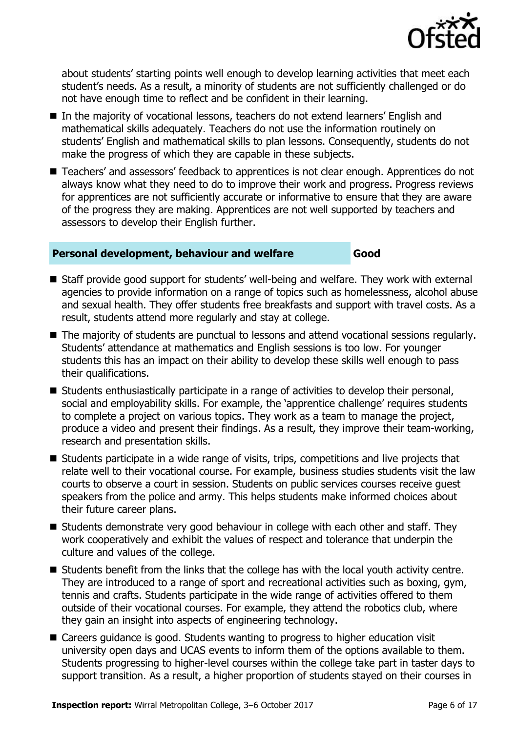

about students' starting points well enough to develop learning activities that meet each student's needs. As a result, a minority of students are not sufficiently challenged or do not have enough time to reflect and be confident in their learning.

- In the majority of vocational lessons, teachers do not extend learners' English and mathematical skills adequately. Teachers do not use the information routinely on students' English and mathematical skills to plan lessons. Consequently, students do not make the progress of which they are capable in these subjects.
- Teachers' and assessors' feedback to apprentices is not clear enough. Apprentices do not always know what they need to do to improve their work and progress. Progress reviews for apprentices are not sufficiently accurate or informative to ensure that they are aware of the progress they are making. Apprentices are not well supported by teachers and assessors to develop their English further.

#### **Personal development, behaviour and welfare Good**

- Staff provide good support for students' well-being and welfare. They work with external agencies to provide information on a range of topics such as homelessness, alcohol abuse and sexual health. They offer students free breakfasts and support with travel costs. As a result, students attend more regularly and stay at college.
- The majority of students are punctual to lessons and attend vocational sessions regularly. Students' attendance at mathematics and English sessions is too low. For younger students this has an impact on their ability to develop these skills well enough to pass their qualifications.
- Students enthusiastically participate in a range of activities to develop their personal, social and employability skills. For example, the 'apprentice challenge' requires students to complete a project on various topics. They work as a team to manage the project, produce a video and present their findings. As a result, they improve their team-working, research and presentation skills.
- Students participate in a wide range of visits, trips, competitions and live projects that relate well to their vocational course. For example, business studies students visit the law courts to observe a court in session. Students on public services courses receive guest speakers from the police and army. This helps students make informed choices about their future career plans.
- Students demonstrate very good behaviour in college with each other and staff. They work cooperatively and exhibit the values of respect and tolerance that underpin the culture and values of the college.
- Students benefit from the links that the college has with the local youth activity centre. They are introduced to a range of sport and recreational activities such as boxing, gym, tennis and crafts. Students participate in the wide range of activities offered to them outside of their vocational courses. For example, they attend the robotics club, where they gain an insight into aspects of engineering technology.
- Careers guidance is good. Students wanting to progress to higher education visit university open days and UCAS events to inform them of the options available to them. Students progressing to higher-level courses within the college take part in taster days to support transition. As a result, a higher proportion of students stayed on their courses in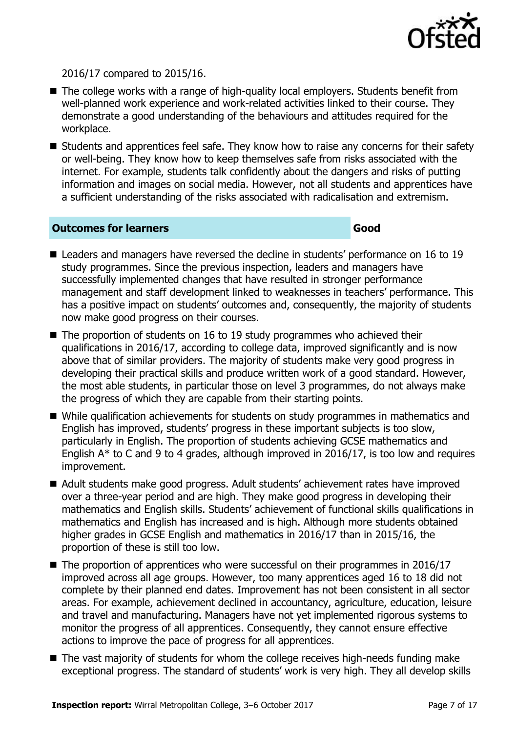

2016/17 compared to 2015/16.

- The college works with a range of high-quality local employers. Students benefit from well-planned work experience and work-related activities linked to their course. They demonstrate a good understanding of the behaviours and attitudes required for the workplace.
- **E** Students and apprentices feel safe. They know how to raise any concerns for their safety or well-being. They know how to keep themselves safe from risks associated with the internet. For example, students talk confidently about the dangers and risks of putting information and images on social media. However, not all students and apprentices have a sufficient understanding of the risks associated with radicalisation and extremism.

#### **Outcomes for learners Good**

- Leaders and managers have reversed the decline in students' performance on 16 to 19 study programmes. Since the previous inspection, leaders and managers have successfully implemented changes that have resulted in stronger performance management and staff development linked to weaknesses in teachers' performance. This has a positive impact on students' outcomes and, consequently, the majority of students now make good progress on their courses.
- The proportion of students on 16 to 19 study programmes who achieved their qualifications in 2016/17, according to college data, improved significantly and is now above that of similar providers. The majority of students make very good progress in developing their practical skills and produce written work of a good standard. However, the most able students, in particular those on level 3 programmes, do not always make the progress of which they are capable from their starting points.
- While qualification achievements for students on study programmes in mathematics and English has improved, students' progress in these important subjects is too slow, particularly in English. The proportion of students achieving GCSE mathematics and English A\* to C and 9 to 4 grades, although improved in 2016/17, is too low and requires improvement.
- Adult students make good progress. Adult students' achievement rates have improved over a three-year period and are high. They make good progress in developing their mathematics and English skills. Students' achievement of functional skills qualifications in mathematics and English has increased and is high. Although more students obtained higher grades in GCSE English and mathematics in 2016/17 than in 2015/16, the proportion of these is still too low.
- $\blacksquare$  The proportion of apprentices who were successful on their programmes in 2016/17 improved across all age groups. However, too many apprentices aged 16 to 18 did not complete by their planned end dates. Improvement has not been consistent in all sector areas. For example, achievement declined in accountancy, agriculture, education, leisure and travel and manufacturing. Managers have not yet implemented rigorous systems to monitor the progress of all apprentices. Consequently, they cannot ensure effective actions to improve the pace of progress for all apprentices.
- The vast majority of students for whom the college receives high-needs funding make exceptional progress. The standard of students' work is very high. They all develop skills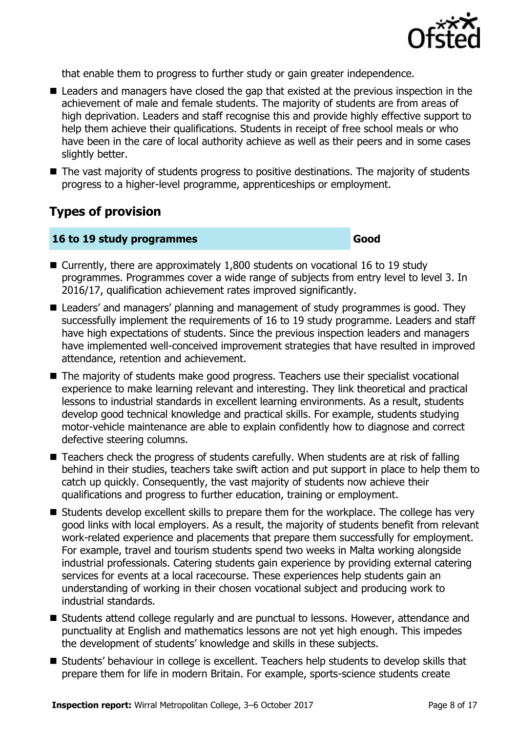

that enable them to progress to further study or gain greater independence.

- Leaders and managers have closed the gap that existed at the previous inspection in the achievement of male and female students. The majority of students are from areas of high deprivation. Leaders and staff recognise this and provide highly effective support to help them achieve their qualifications. Students in receipt of free school meals or who have been in the care of local authority achieve as well as their peers and in some cases slightly better.
- The vast majority of students progress to positive destinations. The majority of students progress to a higher-level programme, apprenticeships or employment.

# **Types of provision**

#### **16 to 19 study programmes Good**

- Currently, there are approximately 1,800 students on vocational 16 to 19 study programmes. Programmes cover a wide range of subjects from entry level to level 3. In 2016/17, qualification achievement rates improved significantly.
- Leaders' and managers' planning and management of study programmes is good. They successfully implement the requirements of 16 to 19 study programme. Leaders and staff have high expectations of students. Since the previous inspection leaders and managers have implemented well-conceived improvement strategies that have resulted in improved attendance, retention and achievement.
- The majority of students make good progress. Teachers use their specialist vocational experience to make learning relevant and interesting. They link theoretical and practical lessons to industrial standards in excellent learning environments. As a result, students develop good technical knowledge and practical skills. For example, students studying motor-vehicle maintenance are able to explain confidently how to diagnose and correct defective steering columns.
- Teachers check the progress of students carefully. When students are at risk of falling behind in their studies, teachers take swift action and put support in place to help them to catch up quickly. Consequently, the vast majority of students now achieve their qualifications and progress to further education, training or employment.
- Students develop excellent skills to prepare them for the workplace. The college has very good links with local employers. As a result, the majority of students benefit from relevant work-related experience and placements that prepare them successfully for employment. For example, travel and tourism students spend two weeks in Malta working alongside industrial professionals. Catering students gain experience by providing external catering services for events at a local racecourse. These experiences help students gain an understanding of working in their chosen vocational subject and producing work to industrial standards.
- Students attend college regularly and are punctual to lessons. However, attendance and punctuality at English and mathematics lessons are not yet high enough. This impedes the development of students' knowledge and skills in these subjects.
- Students' behaviour in college is excellent. Teachers help students to develop skills that prepare them for life in modern Britain. For example, sports-science students create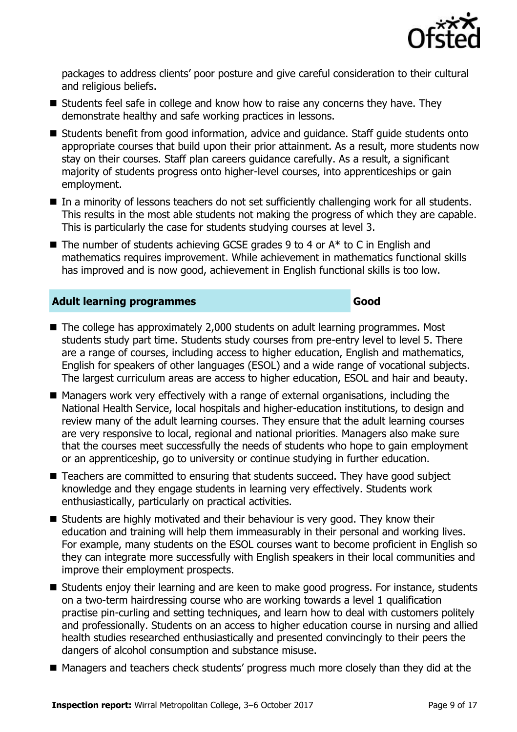

packages to address clients' poor posture and give careful consideration to their cultural and religious beliefs.

- $\blacksquare$  Students feel safe in college and know how to raise any concerns they have. They demonstrate healthy and safe working practices in lessons.
- Students benefit from good information, advice and guidance. Staff guide students onto appropriate courses that build upon their prior attainment. As a result, more students now stay on their courses. Staff plan careers guidance carefully. As a result, a significant majority of students progress onto higher-level courses, into apprenticeships or gain employment.
- In a minority of lessons teachers do not set sufficiently challenging work for all students. This results in the most able students not making the progress of which they are capable. This is particularly the case for students studying courses at level 3.
- $\blacksquare$  The number of students achieving GCSE grades 9 to 4 or  $A^*$  to C in English and mathematics requires improvement. While achievement in mathematics functional skills has improved and is now good, achievement in English functional skills is too low.

### **Adult learning programmes Good**

- The college has approximately 2,000 students on adult learning programmes. Most students study part time. Students study courses from pre-entry level to level 5. There are a range of courses, including access to higher education, English and mathematics, English for speakers of other languages (ESOL) and a wide range of vocational subjects. The largest curriculum areas are access to higher education, ESOL and hair and beauty.
- Managers work very effectively with a range of external organisations, including the National Health Service, local hospitals and higher-education institutions, to design and review many of the adult learning courses. They ensure that the adult learning courses are very responsive to local, regional and national priorities. Managers also make sure that the courses meet successfully the needs of students who hope to gain employment or an apprenticeship, go to university or continue studying in further education.
- Teachers are committed to ensuring that students succeed. They have good subject knowledge and they engage students in learning very effectively. Students work enthusiastically, particularly on practical activities.
- Students are highly motivated and their behaviour is very good. They know their education and training will help them immeasurably in their personal and working lives. For example, many students on the ESOL courses want to become proficient in English so they can integrate more successfully with English speakers in their local communities and improve their employment prospects.
- Students enjoy their learning and are keen to make good progress. For instance, students on a two-term hairdressing course who are working towards a level 1 qualification practise pin-curling and setting techniques, and learn how to deal with customers politely and professionally. Students on an access to higher education course in nursing and allied health studies researched enthusiastically and presented convincingly to their peers the dangers of alcohol consumption and substance misuse.
- Managers and teachers check students' progress much more closely than they did at the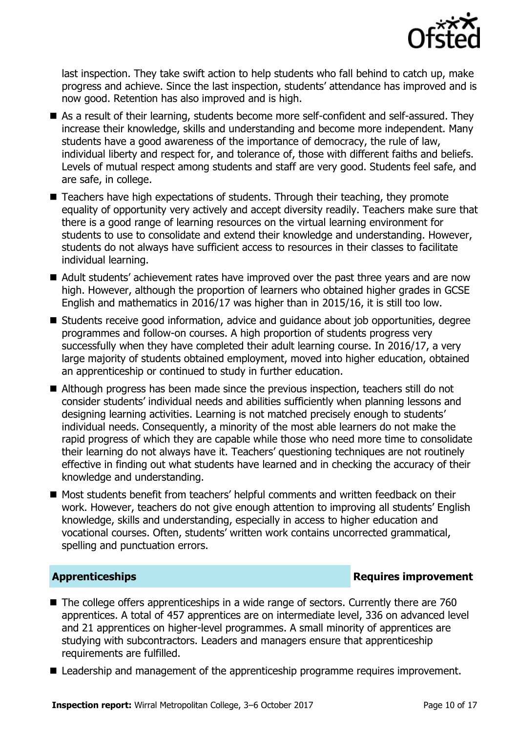

last inspection. They take swift action to help students who fall behind to catch up, make progress and achieve. Since the last inspection, students' attendance has improved and is now good. Retention has also improved and is high.

- As a result of their learning, students become more self-confident and self-assured. They increase their knowledge, skills and understanding and become more independent. Many students have a good awareness of the importance of democracy, the rule of law, individual liberty and respect for, and tolerance of, those with different faiths and beliefs. Levels of mutual respect among students and staff are very good. Students feel safe, and are safe, in college.
- Teachers have high expectations of students. Through their teaching, they promote equality of opportunity very actively and accept diversity readily. Teachers make sure that there is a good range of learning resources on the virtual learning environment for students to use to consolidate and extend their knowledge and understanding. However, students do not always have sufficient access to resources in their classes to facilitate individual learning.
- Adult students' achievement rates have improved over the past three vears and are now high. However, although the proportion of learners who obtained higher grades in GCSE English and mathematics in 2016/17 was higher than in 2015/16, it is still too low.
- Students receive good information, advice and guidance about job opportunities, degree programmes and follow-on courses. A high proportion of students progress very successfully when they have completed their adult learning course. In 2016/17, a very large majority of students obtained employment, moved into higher education, obtained an apprenticeship or continued to study in further education.
- Although progress has been made since the previous inspection, teachers still do not consider students' individual needs and abilities sufficiently when planning lessons and designing learning activities. Learning is not matched precisely enough to students' individual needs. Consequently, a minority of the most able learners do not make the rapid progress of which they are capable while those who need more time to consolidate their learning do not always have it. Teachers' questioning techniques are not routinely effective in finding out what students have learned and in checking the accuracy of their knowledge and understanding.
- Most students benefit from teachers' helpful comments and written feedback on their work. However, teachers do not give enough attention to improving all students' English knowledge, skills and understanding, especially in access to higher education and vocational courses. Often, students' written work contains uncorrected grammatical, spelling and punctuation errors.

### **Apprenticeships Requires improvement**

- The college offers apprenticeships in a wide range of sectors. Currently there are 760 apprentices. A total of 457 apprentices are on intermediate level, 336 on advanced level and 21 apprentices on higher-level programmes. A small minority of apprentices are studying with subcontractors. Leaders and managers ensure that apprenticeship requirements are fulfilled.
- Leadership and management of the apprenticeship programme requires improvement.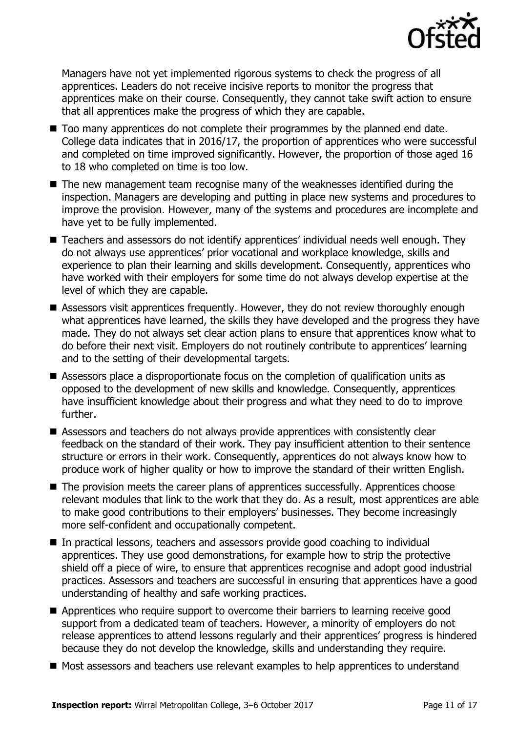

Managers have not yet implemented rigorous systems to check the progress of all apprentices. Leaders do not receive incisive reports to monitor the progress that apprentices make on their course. Consequently, they cannot take swift action to ensure that all apprentices make the progress of which they are capable.

- Too many apprentices do not complete their programmes by the planned end date. College data indicates that in 2016/17, the proportion of apprentices who were successful and completed on time improved significantly. However, the proportion of those aged 16 to 18 who completed on time is too low.
- The new management team recognise many of the weaknesses identified during the inspection. Managers are developing and putting in place new systems and procedures to improve the provision. However, many of the systems and procedures are incomplete and have yet to be fully implemented.
- Teachers and assessors do not identify apprentices' individual needs well enough. They do not always use apprentices' prior vocational and workplace knowledge, skills and experience to plan their learning and skills development. Consequently, apprentices who have worked with their employers for some time do not always develop expertise at the level of which they are capable.
- Assessors visit apprentices frequently. However, they do not review thoroughly enough what apprentices have learned, the skills they have developed and the progress they have made. They do not always set clear action plans to ensure that apprentices know what to do before their next visit. Employers do not routinely contribute to apprentices' learning and to the setting of their developmental targets.
- Assessors place a disproportionate focus on the completion of qualification units as opposed to the development of new skills and knowledge. Consequently, apprentices have insufficient knowledge about their progress and what they need to do to improve further.
- Assessors and teachers do not always provide apprentices with consistently clear feedback on the standard of their work. They pay insufficient attention to their sentence structure or errors in their work. Consequently, apprentices do not always know how to produce work of higher quality or how to improve the standard of their written English.
- The provision meets the career plans of apprentices successfully. Apprentices choose relevant modules that link to the work that they do. As a result, most apprentices are able to make good contributions to their employers' businesses. They become increasingly more self-confident and occupationally competent.
- In practical lessons, teachers and assessors provide good coaching to individual apprentices. They use good demonstrations, for example how to strip the protective shield off a piece of wire, to ensure that apprentices recognise and adopt good industrial practices. Assessors and teachers are successful in ensuring that apprentices have a good understanding of healthy and safe working practices.
- **E** Apprentices who require support to overcome their barriers to learning receive good support from a dedicated team of teachers. However, a minority of employers do not release apprentices to attend lessons regularly and their apprentices' progress is hindered because they do not develop the knowledge, skills and understanding they require.
- Most assessors and teachers use relevant examples to help apprentices to understand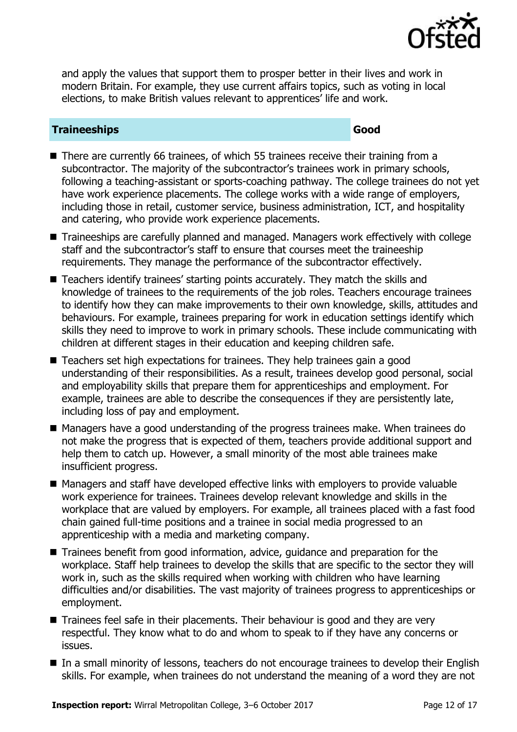

and apply the values that support them to prosper better in their lives and work in modern Britain. For example, they use current affairs topics, such as voting in local elections, to make British values relevant to apprentices' life and work.

## **Traineeships Good**

- There are currently 66 trainees, of which 55 trainees receive their training from a subcontractor. The majority of the subcontractor's trainees work in primary schools, following a teaching-assistant or sports-coaching pathway. The college trainees do not yet have work experience placements. The college works with a wide range of employers, including those in retail, customer service, business administration, ICT, and hospitality and catering, who provide work experience placements.
- Traineeships are carefully planned and managed. Managers work effectively with college staff and the subcontractor's staff to ensure that courses meet the traineeship requirements. They manage the performance of the subcontractor effectively.
- Teachers identify trainees' starting points accurately. They match the skills and knowledge of trainees to the requirements of the job roles. Teachers encourage trainees to identify how they can make improvements to their own knowledge, skills, attitudes and behaviours. For example, trainees preparing for work in education settings identify which skills they need to improve to work in primary schools. These include communicating with children at different stages in their education and keeping children safe.
- Teachers set high expectations for trainees. They help trainees gain a good understanding of their responsibilities. As a result, trainees develop good personal, social and employability skills that prepare them for apprenticeships and employment. For example, trainees are able to describe the consequences if they are persistently late, including loss of pay and employment.
- Managers have a good understanding of the progress trainees make. When trainees do not make the progress that is expected of them, teachers provide additional support and help them to catch up. However, a small minority of the most able trainees make insufficient progress.
- Managers and staff have developed effective links with employers to provide valuable work experience for trainees. Trainees develop relevant knowledge and skills in the workplace that are valued by employers. For example, all trainees placed with a fast food chain gained full-time positions and a trainee in social media progressed to an apprenticeship with a media and marketing company.
- Trainees benefit from good information, advice, guidance and preparation for the workplace. Staff help trainees to develop the skills that are specific to the sector they will work in, such as the skills required when working with children who have learning difficulties and/or disabilities. The vast majority of trainees progress to apprenticeships or employment.
- Trainees feel safe in their placements. Their behaviour is good and they are very respectful. They know what to do and whom to speak to if they have any concerns or issues.
- In a small minority of lessons, teachers do not encourage trainees to develop their English skills. For example, when trainees do not understand the meaning of a word they are not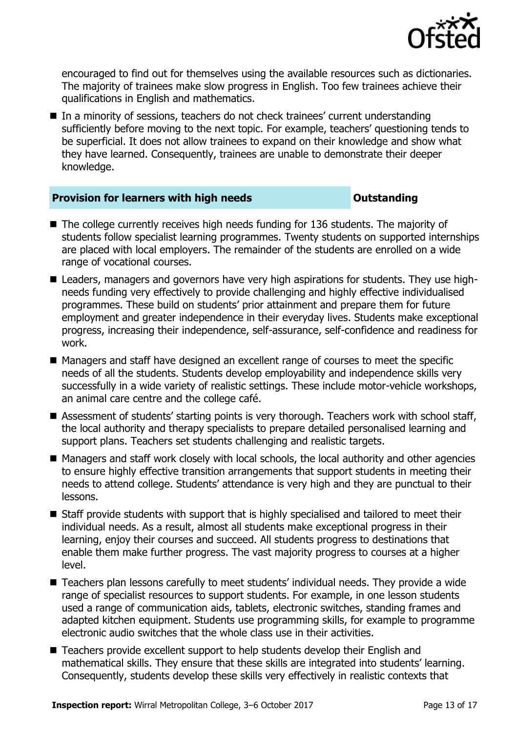

encouraged to find out for themselves using the available resources such as dictionaries. The majority of trainees make slow progress in English. Too few trainees achieve their qualifications in English and mathematics.

■ In a minority of sessions, teachers do not check trainees' current understanding sufficiently before moving to the next topic. For example, teachers' questioning tends to be superficial. It does not allow trainees to expand on their knowledge and show what they have learned. Consequently, trainees are unable to demonstrate their deeper knowledge.

#### **Provision for learners with high needs** *Outstanding*

- The college currently receives high needs funding for 136 students. The majority of students follow specialist learning programmes. Twenty students on supported internships are placed with local employers. The remainder of the students are enrolled on a wide range of vocational courses.
- Leaders, managers and governors have very high aspirations for students. They use highneeds funding very effectively to provide challenging and highly effective individualised programmes. These build on students' prior attainment and prepare them for future employment and greater independence in their everyday lives. Students make exceptional progress, increasing their independence, self-assurance, self-confidence and readiness for work.
- Managers and staff have designed an excellent range of courses to meet the specific needs of all the students. Students develop employability and independence skills very successfully in a wide variety of realistic settings. These include motor-vehicle workshops, an animal care centre and the college café.
- Assessment of students' starting points is very thorough. Teachers work with school staff, the local authority and therapy specialists to prepare detailed personalised learning and support plans. Teachers set students challenging and realistic targets.
- Managers and staff work closely with local schools, the local authority and other agencies to ensure highly effective transition arrangements that support students in meeting their needs to attend college. Students' attendance is very high and they are punctual to their lessons.
- Staff provide students with support that is highly specialised and tailored to meet their individual needs. As a result, almost all students make exceptional progress in their learning, enjoy their courses and succeed. All students progress to destinations that enable them make further progress. The vast majority progress to courses at a higher level.
- Teachers plan lessons carefully to meet students' individual needs. They provide a wide range of specialist resources to support students. For example, in one lesson students used a range of communication aids, tablets, electronic switches, standing frames and adapted kitchen equipment. Students use programming skills, for example to programme electronic audio switches that the whole class use in their activities.
- Teachers provide excellent support to help students develop their English and mathematical skills. They ensure that these skills are integrated into students' learning. Consequently, students develop these skills very effectively in realistic contexts that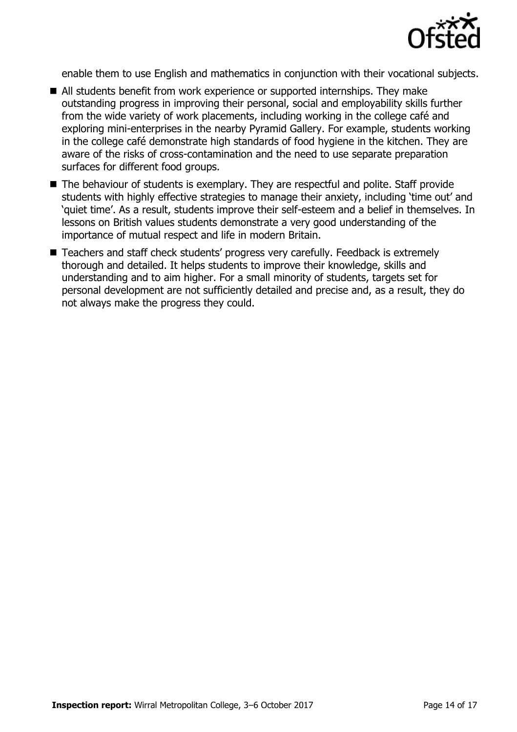![](_page_13_Picture_0.jpeg)

enable them to use English and mathematics in conjunction with their vocational subjects.

- All students benefit from work experience or supported internships. They make outstanding progress in improving their personal, social and employability skills further from the wide variety of work placements, including working in the college café and exploring mini-enterprises in the nearby Pyramid Gallery. For example, students working in the college café demonstrate high standards of food hygiene in the kitchen. They are aware of the risks of cross-contamination and the need to use separate preparation surfaces for different food groups.
- The behaviour of students is exemplary. They are respectful and polite. Staff provide students with highly effective strategies to manage their anxiety, including 'time out' and 'quiet time'. As a result, students improve their self-esteem and a belief in themselves. In lessons on British values students demonstrate a very good understanding of the importance of mutual respect and life in modern Britain.
- Teachers and staff check students' progress very carefully. Feedback is extremely thorough and detailed. It helps students to improve their knowledge, skills and understanding and to aim higher. For a small minority of students, targets set for personal development are not sufficiently detailed and precise and, as a result, they do not always make the progress they could.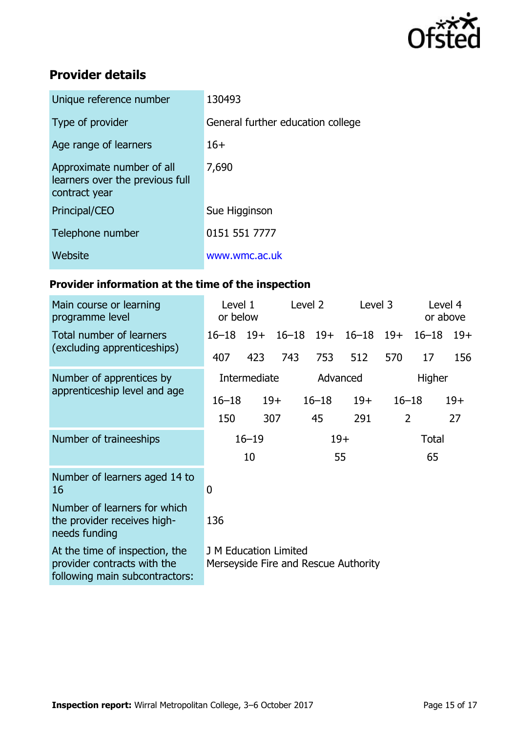![](_page_14_Picture_0.jpeg)

# **Provider details**

| Unique reference number                                                       | 130493                            |
|-------------------------------------------------------------------------------|-----------------------------------|
| Type of provider                                                              | General further education college |
| Age range of learners                                                         | $16+$                             |
| Approximate number of all<br>learners over the previous full<br>contract year | 7,690                             |
| Principal/CEO                                                                 | Sue Higginson                     |
| Telephone number                                                              | 0151 551 7777                     |
| Website                                                                       | www.wmc.ac.uk                     |

# **Provider information at the time of the inspection**

| Main course or learning<br>programme level                                                      | Level 1<br>or below                                                  |     | Level 2 |                    | Level 3       |           | Level 4<br>or above |       |
|-------------------------------------------------------------------------------------------------|----------------------------------------------------------------------|-----|---------|--------------------|---------------|-----------|---------------------|-------|
| Total number of learners<br>(excluding apprenticeships)                                         | $16 - 18$ 19+                                                        |     |         | $16 - 18$ 19+      | $16 - 18$ 19+ |           | $16 - 18$           | $19+$ |
|                                                                                                 | 407                                                                  | 423 | 743     | 753                | 512           | 570       | 17                  | 156   |
| Number of apprentices by<br>apprenticeship level and age                                        | Intermediate                                                         |     |         | Advanced<br>Higher |               |           |                     |       |
|                                                                                                 | $16 - 18$                                                            |     | $19+$   | $16 - 18$          | $19+$         | $16 - 18$ |                     | $19+$ |
|                                                                                                 | 150                                                                  |     | 307     | 45                 | 291           | 2         |                     | 27    |
| Number of traineeships                                                                          | $16 - 19$                                                            |     |         | $19+$              |               | Total     |                     |       |
|                                                                                                 |                                                                      | 10  |         |                    | 55            |           | 65                  |       |
| Number of learners aged 14 to<br>16                                                             | $\overline{0}$                                                       |     |         |                    |               |           |                     |       |
| Number of learners for which<br>the provider receives high-<br>needs funding                    | 136                                                                  |     |         |                    |               |           |                     |       |
| At the time of inspection, the<br>provider contracts with the<br>following main subcontractors: | <b>J M Education Limited</b><br>Merseyside Fire and Rescue Authority |     |         |                    |               |           |                     |       |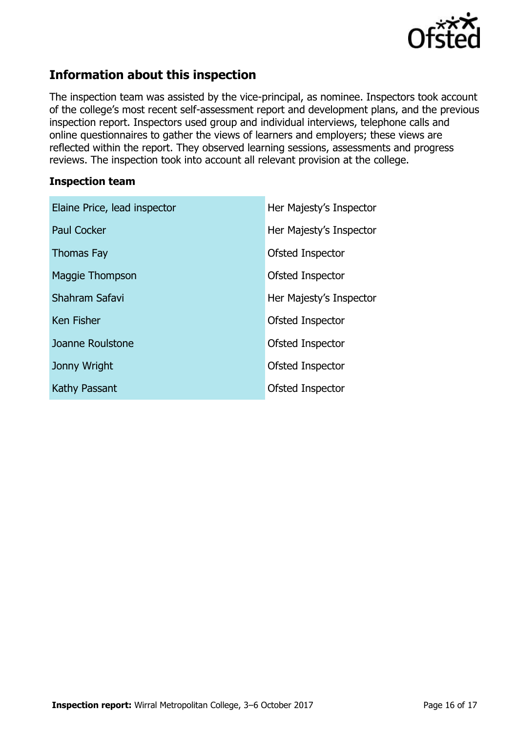![](_page_15_Picture_0.jpeg)

# **Information about this inspection**

The inspection team was assisted by the vice-principal, as nominee. Inspectors took account of the college's most recent self-assessment report and development plans, and the previous inspection report. Inspectors used group and individual interviews, telephone calls and online questionnaires to gather the views of learners and employers; these views are reflected within the report. They observed learning sessions, assessments and progress reviews. The inspection took into account all relevant provision at the college.

#### **Inspection team**

| Elaine Price, lead inspector | Her Majesty's Inspector |
|------------------------------|-------------------------|
| <b>Paul Cocker</b>           | Her Majesty's Inspector |
| <b>Thomas Fay</b>            | Ofsted Inspector        |
| Maggie Thompson              | Ofsted Inspector        |
| Shahram Safavi               | Her Majesty's Inspector |
| Ken Fisher                   | Ofsted Inspector        |
| Joanne Roulstone             | Ofsted Inspector        |
| Jonny Wright                 | Ofsted Inspector        |
| Kathy Passant                | Ofsted Inspector        |